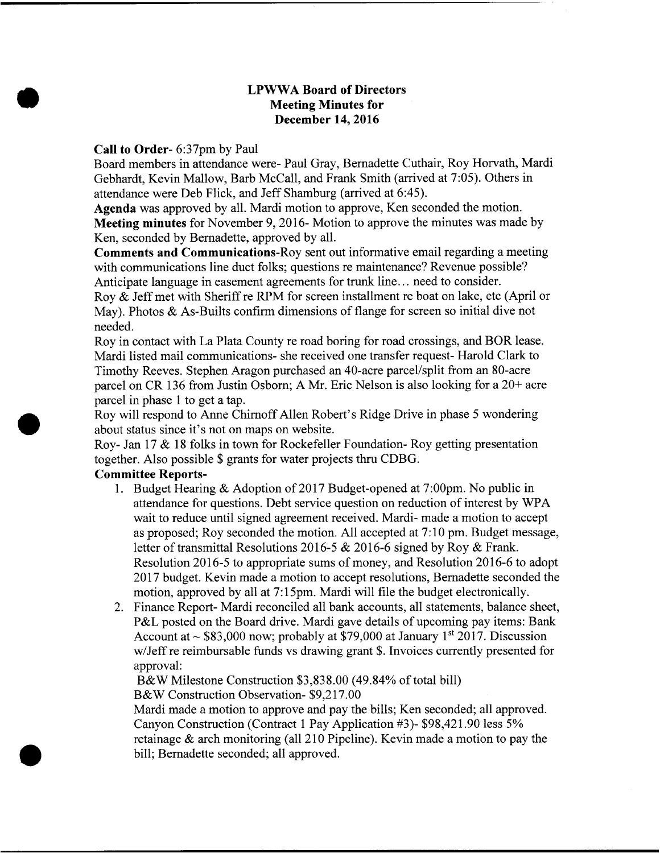## LPWWA Board of Directors Meeting Minutes for December 14, 2016

## Call to Order- 6:37pm by Paul

Board members in attendance were- Paul Gray, Bernadette Cuthair, Roy Horvath, Mardi Gebhardt, Kevin Mallow, Barb McCall, and Frank Smith (arrived at 7:05). Others in attendance were Deb Flick, and Jeff Shamburg (arrived at 6:45).

Agenda was approved by all. Mardi motion to approve, Ken seconded the motion. Meeting minutes for November 9, 2016- Motion to approve the minutes was made by Ken, seconded by Bernadette, approved by all.

Comments and Communications-Roy sent out informative email regarding a meeting with communications line duct folks; questions re maintenance? Revenue possible? Anticipate language in easement agreements for trunk line... need to consider.

Roy & Jeff met with Sheriff re RPM for screen installment re boat on lake, etc (April or May). Photos  $\&$  As-Builts confirm dimensions of flange for screen so initial dive not needed.

Roy in contact with La Plata County re road boring for road crossings, and BOR lease. Mardi listed mail communications- she received one transfer request- Harold Clark to Timothy Reeves. Stephen Aragon purchased an 40-acre parcel/split from an 80-acre parcel on CR 136 from Justin Osborn; A Mr. Eric Nelson is also looking for a 20+ acre parcel in phase <sup>1</sup> to get a tap.

Roy will respond to Anne ChirnoffAllen Robert's Ridge Drive in phase <sup>5</sup> wondering about status since it's not on maps on website.

Roy- Jan 17 & <sup>18</sup> folks in town for Rockefeller Foundation- Roy getting presentation together. Also possible \$ grants for water projects thru CDBG.

## Committee Reports-

- 1. Budget Hearing & Adoption of 2017 Budget-opened at 7:00pm. No public in attendance for questions. Debt service question on reduction of interest by WPA wait to reduce until signed agreement received. Mardi- made a motion to accept as proposed; Roy seconded the motion. All accepted at 7:10 pm. Budget message, letter of transmittal Resolutions 2016-5 & 2016-6 signed by Roy & Frank. Resolution 2016-5 to appropriate sums of money, and Resolution 2016-6 to adopt 2017 budget. Kevin made a motion to accept resolutions, Bernadette seconded the motion, approved by all at 7:15pm. Mardi will file the budget electronically.
- 2. Finance Report- Mardi reconciled all bank accounts, all statements, balance sheet, P&L posted on the Board drive. Mardi gave details of upcoming pay items: Bank Account at  $\sim$  \$83,000 now; probably at \$79,000 at January 1<sup>st</sup> 2017. Discussion w/Jeff re reimbursable funds vs drawing grant \$. Invoices currently presented for approval:

B&W Milestone Construction \$3,838.00 (49.84% of total bill)

B&W Construction Observation- \$9,217.00

Mardi made a motion to approve and pay the bills; Ken seconded; all approved. Canyon Construction (Contract <sup>1</sup> Pay Application #3)- \$98,421.90 less 5% retainage & arch monitoring (all 210 Pipeline). Kevin made <sup>a</sup> motion to pay the bill; Bernadette seconded; all approved.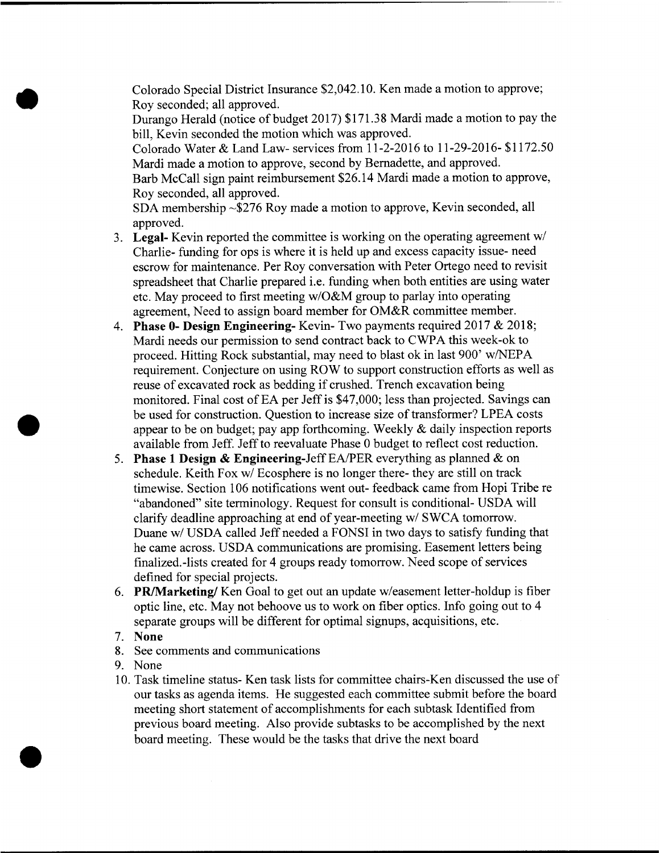Colorado Special District Insurance \$2,042.10. Ken made a motion to approve; Roy seconded; all approved. Durango Herald (notice of budget 2017) \$171.38 Mardi made <sup>a</sup> motion to pay the bill, Kevin seconded the motion which was approved. Colorado Water & Land Law- services from 11-2-2016 to 11-29-20l6- \$1172.50 Mardi made a motion to approve, second by Bemadette, and approved. Barb McCall sign paint reimbursement \$26.14 Mardi made a motion to approve, Roy seconded, all approved. SDA membership ~\$276 Roy made a motion to approve, Kevin seconded, all

approved.

- 3. Legal- Kevin reported the committee is working on the operating agreement w/ Charlie- funding for ops is where it is held up and excess capacity issue- need escrow for maintenance. Per Roy conversation with Peter Ortego need to revisit spreadsheet that Charlie prepared i.e. funding when both entities are using water etc. May proceed to first meeting  $w/O&M$  group to parlay into operating agreement, Need to assign board member for OM&R committee member.
- 4. Phase 0- Design Engineering-Kevin-Two payments required 2017 & 2018; Mardi needs our permission to send contract back to CWPA this week-ok to proceed. Hitting Rock substantial, may need to blast ok in last 900' w/NEPA requirement. Conjecture on using ROW to support construction efforts as well as reuse of excavated rock as bedding if crushed. Trench excavation being monitored. Final cost of EA per Jeff is \$47,000; less than projected. Savings can be used for construction. Question to increase size of transformer? LPEA costs appear to be on budget; pay app forthcoming. Weekly & daily inspection reports available from Jeff. Jeff to reevaluate Phase 0 budget to reflect cost reduction.
- 5. Phase 1 Design & Engineering-Jeff EA/PER everything as planned & on schedule. Keith Fox w/ Ecosphere is no longer there- they are still on track timewise. Section 106 notifications went out-feedback came from Hopi Tribe re "abandoned" site terminology. Request for consult is conditional- USDA will clarify deadline approaching at end of year-meeting w/ SWCA tomorrow. Duane w/ USDA called Jeff needed a FONSI in two days to satisfy funding that he came across. USDA communications are promising. Easement letters being finalized.-lists created for 4 groups ready tomorrow. Need scope of services defined for special projects.
- 6. PR/Marketing/Ken Goal to get out an update w/easement letter-holdup is fibe optic line, etc. May not behoove us to work on fiber optics. Info going out to 4 separate groups will be different for optimal signups, acquisitions, etc.
- 7. None
- See comments and communications
- 9. None
- 10. Task timeline status- Ken task lists for committee chairs-Ken discussed the use of our tasks as agenda items. He suggested each committee submit before the board meeting short statement of accomplishments for each subtask Identified from previous board meeting. Also provide subtasks to be accomplished by the next board meeting. These would be the tasks that drive the next board